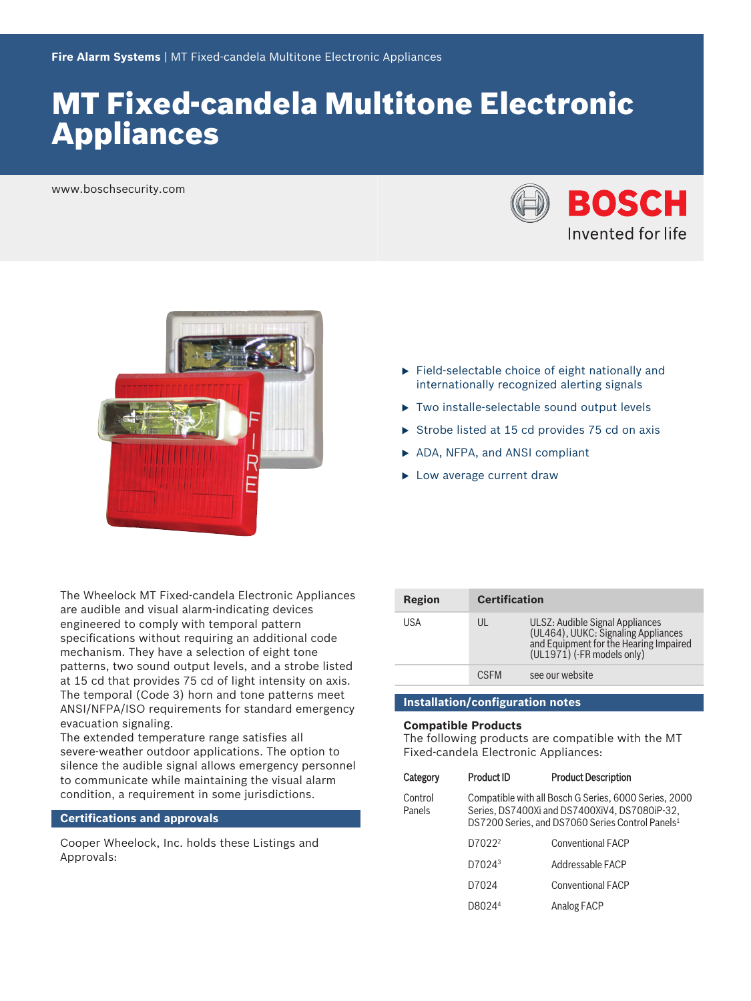# **MT Fixed-candela Multitone Electronic** Appliances

www.boschsecurity.com





The Wheelock MT Fixed-candela Electronic Appliances are audible and visual alarm-indicating devices engineered to comply with temporal pattern specifications without requiring an additional code mechanism. They have a selection of eight tone patterns, two sound output levels, and a strobe listed at 15 cd that provides 75 cd of light intensity on axis. The temporal (Code 3) horn and tone patterns meet ANSI/NFPA/ISO requirements for standard emergency evacuation signaling.

The extended temperature range satisfies all severe‑weather outdoor applications. The option to silence the audible signal allows emergency personnel to communicate while maintaining the visual alarm condition, a requirement in some jurisdictions.

#### **Certifications and approvals**

Cooper Wheelock, Inc. holds these Listings and Approvals:

- $\blacktriangleright$  Field-selectable choice of eight nationally and internationally recognized alerting signals  $\blacktriangleright$  Two installe-selectable sound output levels
- $\triangleright$  Strobe listed at 15 cd provides 75 cd on axis
- ▶ ADA, NFPA, and ANSI compliant
- $\blacktriangleright$  Low average current draw

| Region | <b>Certification</b> |                                                                                                                                                |
|--------|----------------------|------------------------------------------------------------------------------------------------------------------------------------------------|
| USA    | UL                   | ULSZ: Audible Signal Appliances<br>(UL464), UUKC: Signaling Appliances<br>and Equipment for the Hearing Impaired<br>(UL1971) (-FR models only) |
|        | <b>CSEM</b>          | see our website                                                                                                                                |

# **Installation/configuration notes**

#### **Compatible Products**

The following products are compatible with the MT Fixed-candela Electronic Appliances:

| Category          | <b>Product ID</b>                                                                                                                                                      | <b>Product Description</b> |
|-------------------|------------------------------------------------------------------------------------------------------------------------------------------------------------------------|----------------------------|
| Control<br>Panels | Compatible with all Bosch G Series, 6000 Series, 2000<br>Series, DS7400Xi and DS7400XiV4, DS7080iP-32,<br>DS7200 Series, and DS7060 Series Control Panels <sup>1</sup> |                            |
|                   | D7022 <sup>2</sup>                                                                                                                                                     | <b>Conventional FACP</b>   |
|                   | D7024 <sup>3</sup>                                                                                                                                                     | Addressable FACP           |
|                   | D7024                                                                                                                                                                  | <b>Conventional FACP</b>   |
|                   | D8024 <sup>4</sup>                                                                                                                                                     | Analog FACP                |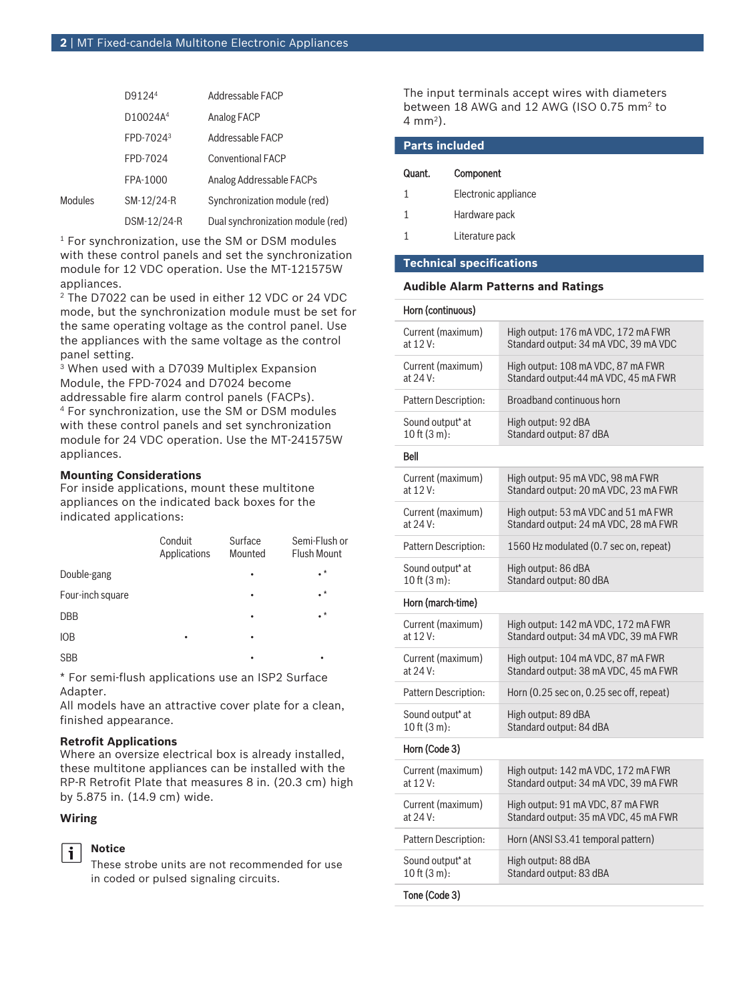|         | D9124 <sup>4</sup>    | Addressable FACP                  |
|---------|-----------------------|-----------------------------------|
|         | D10024A <sup>4</sup>  | Analog FACP                       |
|         | FPD-7024 <sup>3</sup> | Addressable FACP                  |
|         | FPD-7024              | <b>Conventional FACP</b>          |
|         | FPA-1000              | Analog Addressable FACPs          |
| Modules | SM-12/24-R            | Synchronization module (red)      |
|         | DSM-12/24-R           | Dual synchronization module (red) |

 $<sup>1</sup>$  For synchronization, use the SM or DSM modules</sup> with these control panels and set the synchronization module for 12 VDC operation. Use the MT‑121575W appliances.

2 The D7022 can be used in either 12 VDC or 24 VDC mode, but the synchronization module must be set for the same operating voltage as the control panel. Use the appliances with the same voltage as the control panel setting.

3 When used with a D7039 Multiplex Expansion Module, the FPD-7024 and D7024 become addressable fire alarm control panels (FACPs). 4 For synchronization, use the SM or DSM modules with these control panels and set synchronization module for 24 VDC operation. Use the MT‑241575W appliances.

# **Mounting Considerations**

For inside applications, mount these multitone appliances on the indicated back boxes for the indicated applications:

|                  | Conduit<br>Applications | Surface<br>Mounted | Semi-Flush or<br><b>Flush Mount</b> |
|------------------|-------------------------|--------------------|-------------------------------------|
| Double-gang      |                         |                    | $\cdot^*$                           |
| Four-inch square |                         |                    | $\cdot^*$                           |
| <b>DBB</b>       |                         |                    | $\cdot^*$                           |
| <b>IOB</b>       | ٠                       | ٠                  |                                     |
| <b>SBB</b>       |                         | ٠                  | ٠                                   |

\* For semi‑flush applications use an ISP2 Surface Adapter.

All models have an attractive cover plate for a clean, finished appearance.

### **Retrofit Applications**

Where an oversize electrical box is already installed, these multitone appliances can be installed with the RP‑R Retrofit Plate that measures 8 in. (20.3 cm) high by 5.875 in. (14.9 cm) wide.

# **Wiring**

i

### **Notice**

These strobe units are not recommended for use in coded or pulsed signaling circuits.

The input terminals accept wires with diameters between 18 AWG and 12 AWG (ISO 0.75 mm<sup>2</sup> to 4 mm<sup>2</sup> ).

| <b>Parts included</b> |                      |  |
|-----------------------|----------------------|--|
| Quant.                | Component            |  |
| 1                     | Electronic appliance |  |
| 1                     | Hardware pack        |  |
|                       | Literature pack      |  |
|                       |                      |  |

# **Technical specifications**

#### **Audible Alarm Patterns and Ratings**

| Horn (continuous)            |                                                                   |
|------------------------------|-------------------------------------------------------------------|
| Current (maximum)            | High output: 176 mA VDC, 172 mA FWR                               |
| at 12 V:                     | Standard output: 34 mA VDC, 39 mA VDC                             |
| Current (maximum)            | High output: 108 mA VDC, 87 mA FWR                                |
| at 24 V:                     | Standard output: 44 mA VDC, 45 mA FWR                             |
| Pattern Description:         | Broadband continuous horn                                         |
| Sound output <sup>*</sup> at | High output: 92 dBA                                               |
| $10$ ft $(3 m)$ :            | Standard output: 87 dBA                                           |
| <b>Bell</b>                  |                                                                   |
| Current (maximum)            | High output: 95 mA VDC, 98 mA FWR                                 |
| at 12 V:                     | Standard output: 20 mA VDC, 23 mA FWR                             |
| Current (maximum)            | High output: 53 mA VDC and 51 mA FWR                              |
| at 24 V:                     | Standard output: 24 mA VDC, 28 mA FWR                             |
| Pattern Description:         | 1560 Hz modulated (0.7 sec on, repeat)                            |
| Sound output* at             | High output: 86 dBA                                               |
| 10 ft $(3 m)$ :              | Standard output: 80 dBA                                           |
| Horn (march-time)            |                                                                   |
| Current (maximum)            | High output: 142 mA VDC, 172 mA FWR                               |
| at 12 V:                     | Standard output: 34 mA VDC, 39 mA FWR                             |
| Current (maximum)            | High output: 104 mA VDC, 87 mA FWR                                |
| at 24 V:                     | Standard output: 38 mA VDC, 45 mA FWR                             |
| Pattern Description:         | Horn $(0.25 \text{ sec on}, 0.25 \text{ sec off}, \text{repeat})$ |
| Sound output* at             | High output: 89 dBA                                               |
| $10$ ft $(3 m)$ :            | Standard output: 84 dBA                                           |
| Horn (Code 3)                |                                                                   |
| Current (maximum)            | High output: 142 mA VDC, 172 mA FWR                               |
| at 12 V:                     | Standard output: 34 mA VDC, 39 mA FWR                             |
| Current (maximum)            | High output: 91 mA VDC, 87 mA FWR                                 |
| at 24 V:                     | Standard output: 35 mA VDC, 45 mA FWR                             |
| Pattern Description:         | Horn (ANSI S3.41 temporal pattern)                                |
| Sound output* at             | High output: 88 dBA                                               |
| $10$ ft $(3 m)$ :            | Standard output: 83 dBA                                           |
| Tone (Code 3)                |                                                                   |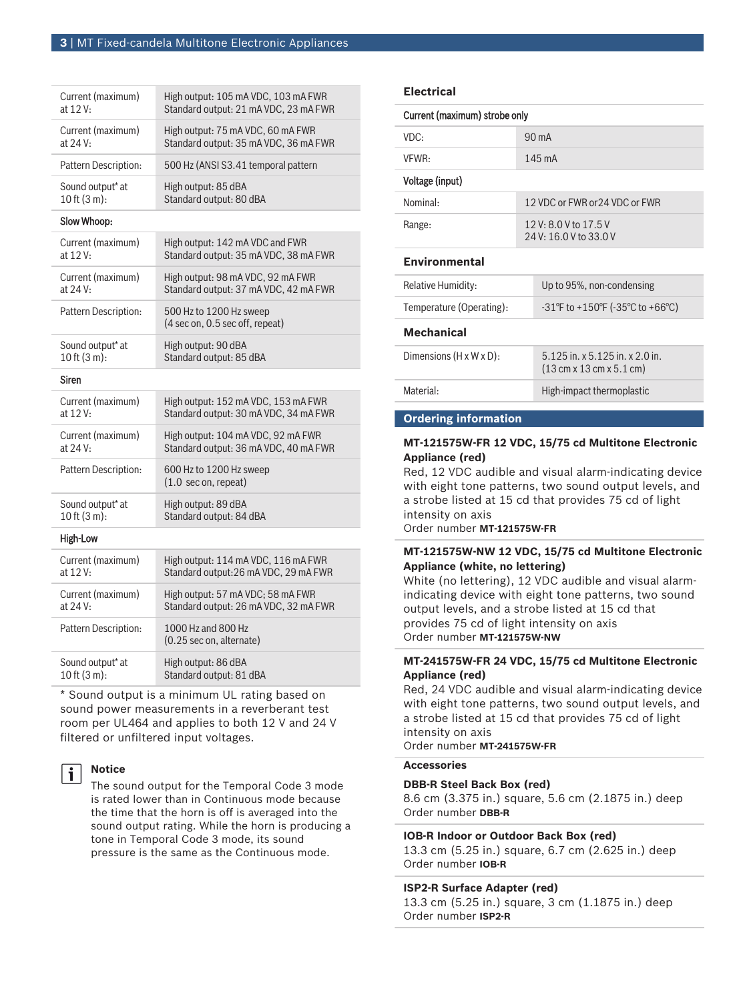| Current (maximum)    | High output: 105 mA VDC, 103 mA FWR                        |
|----------------------|------------------------------------------------------------|
| at 12 V:             | Standard output: 21 mA VDC, 23 mA FWR                      |
| Current (maximum)    | High output: 75 mA VDC, 60 mA FWR                          |
| at 24 V:             | Standard output: 35 mA VDC, 36 mA FWR                      |
| Pattern Description: | 500 Hz (ANSI S3.41 temporal pattern                        |
| Sound output* at     | High output: 85 dBA                                        |
| 10 ft (3 m):         | Standard output: 80 dBA                                    |
| Slow Whoop:          |                                                            |
| Current (maximum)    | High output: 142 mA VDC and FWR                            |
| at 12 V:             | Standard output: 35 mA VDC, 38 mA FWR                      |
| Current (maximum)    | High output: 98 mA VDC, 92 mA FWR                          |
| at 24 V:             | Standard output: 37 mA VDC, 42 mA FWR                      |
| Pattern Description: | 500 Hz to 1200 Hz sweep<br>(4 sec on, 0.5 sec off, repeat) |
| Sound output* at     | High output: 90 dBA                                        |
| $10$ ft $(3 m)$ :    | Standard output: 85 dBA                                    |
|                      |                                                            |
| Siren                |                                                            |
| Current (maximum)    | High output: 152 mA VDC, 153 mA FWR                        |
| at 12 V:             | Standard output: 30 mA VDC, 34 mA FWR                      |
| Current (maximum)    | High output: 104 mA VDC, 92 mA FWR                         |
| at $24V_1$           | Standard output: 36 mA VDC, 40 mA FWR                      |
| Pattern Description: | 600 Hz to 1200 Hz sweep<br>$(1.0 \text{ sec on, repeat})$  |
| Sound output* at     | High output: 89 dBA                                        |
| 10 ft $(3 m)$ :      | Standard output: 84 dBA                                    |
| High-Low             |                                                            |
| Current (maximum)    | High output: 114 mA VDC, 116 mA FWR                        |
| at 12 V:             | Standard output: 26 mA VDC, 29 mA FWR                      |
| Current (maximum)    | High output: 57 mA VDC; 58 mA FWR                          |
| at 24 V:             | Standard output: 26 mA VDC, 32 mA FWR                      |
| Pattern Description: | 1000 Hz and 800 Hz<br>(0.25 sec on, alternate)             |

Sound output\* at 10 ft (3 m): High output: 86 dBA Standard output: 81 dBA

\* Sound output is a minimum UL rating based on sound power measurements in a reverberant test room per UL464 and applies to both 12 V and 24 V filtered or unfiltered input voltages.

### **Notice**

i

The sound output for the Temporal Code 3 mode is rated lower than in Continuous mode because the time that the horn is off is averaged into the sound output rating. While the horn is producing a tone in Temporal Code 3 mode, its sound pressure is the same as the Continuous mode.

#### **Electrical**

| Current (maximum) strobe only                       |                                                                                                 |  |  |
|-----------------------------------------------------|-------------------------------------------------------------------------------------------------|--|--|
| $90 \text{ mA}$                                     |                                                                                                 |  |  |
|                                                     | $145 \text{ mA}$                                                                                |  |  |
| Voltage (input)                                     |                                                                                                 |  |  |
|                                                     | 12 VDC or FWR or 24 VDC or FWR                                                                  |  |  |
| $12 V: 8.0 V$ to $17.5 V$<br>24 V: 16.0 V to 33.0 V |                                                                                                 |  |  |
|                                                     |                                                                                                 |  |  |
|                                                     | Up to 95%, non-condensing                                                                       |  |  |
|                                                     | $-31^{\circ}$ F to $+150^{\circ}$ F ( $-35^{\circ}$ C to $+66^{\circ}$ C)                       |  |  |
|                                                     |                                                                                                 |  |  |
|                                                     | 5.125 in. x 5.125 in. x 2.0 in.<br>$(13 \text{ cm} \times 13 \text{ cm} \times 5.1 \text{ cm})$ |  |  |
|                                                     | High-impact thermoplastic                                                                       |  |  |
|                                                     |                                                                                                 |  |  |

#### **Ordering information**

#### **MT‑121575W‑FR 12 VDC, 15/75 cd Multitone Electronic Appliance (red)**

Red, 12 VDC audible and visual alarm-indicating device with eight tone patterns, two sound output levels, and a strobe listed at 15 cd that provides 75 cd of light intensity on axis

Order number **MT-121575W-FR**

## **MT‑121575W‑NW 12 VDC, 15/75 cd Multitone Electronic Appliance (white, no lettering)**

White (no lettering), 12 VDC audible and visual alarmindicating device with eight tone patterns, two sound output levels, and a strobe listed at 15 cd that provides 75 cd of light intensity on axis Order number **MT-121575W-NW**

### **MT‑241575W‑FR 24 VDC, 15/75 cd Multitone Electronic Appliance (red)**

Red, 24 VDC audible and visual alarm-indicating device with eight tone patterns, two sound output levels, and a strobe listed at 15 cd that provides 75 cd of light intensity on axis Order number **MT-241575W-FR**

#### **Accessories**

#### **DBB‑R Steel Back Box (red)**

8.6 cm (3.375 in.) square, 5.6 cm (2.1875 in.) deep Order number **DBB-R**

#### **IOB‑R Indoor or Outdoor Back Box (red)**

13.3 cm (5.25 in.) square, 6.7 cm (2.625 in.) deep Order number **IOB-R**

#### **ISP2‑R Surface Adapter (red)**

13.3 cm (5.25 in.) square, 3 cm (1.1875 in.) deep Order number **ISP2-R**